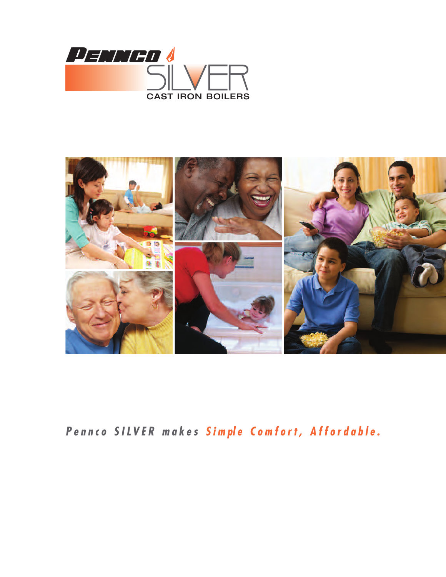



*P e n n c o S I LV E R m a k e s S i m pl e C o m f o r t , A f f o r d a b l e .*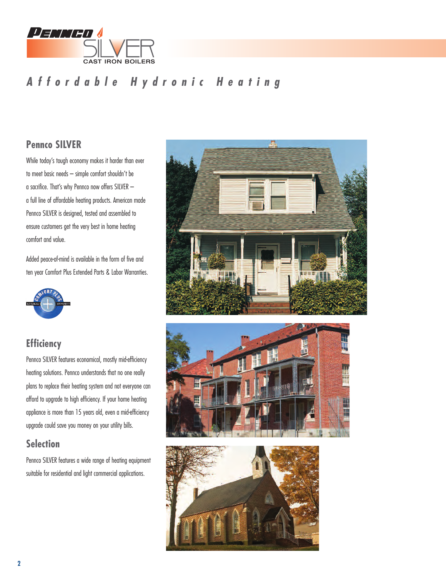

## *A f f o r d a b l e H y d r o n i c H e a t i n g*

### **Pennco SILVER**

While today's tough economy makes it harder than ever to meet basic needs – simple comfort shouldn't be a sacrifice. That's why Pennco now offers SILVER – a full line of affordable heating products. American made Pennco SILVER is designed, tested and assembled to ensure customers get the very best in home heating comfort and value.

Added peace-of-mind is available in the form of five and ten year Comfort Plus Extended Parts & Labor Warranties.



### **Efficiency**

Pennco SILVER features economical, mostly mid-efficiency heating solutions. Pennco understands that no one really plans to replace their heating system and not everyone can afford to upgrade to high efficiency. If your home heating appliance is more than 15 years old, even a mid-efficiency upgrade could save you money on your utility bills.

### **Selection**

Pennco SILVER features a wide range of heating equipment suitable for residential and light commercial applications.





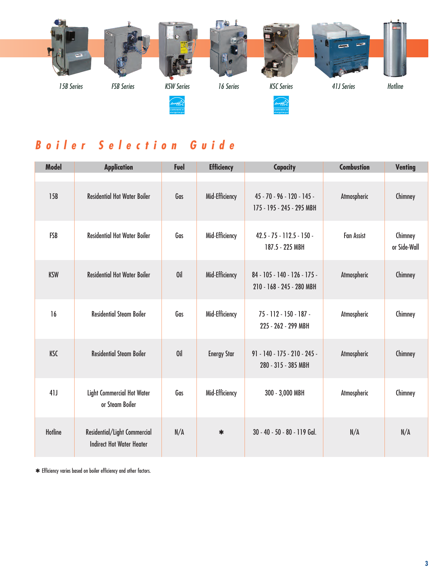

## *B o i l e r S e l e c t i o n G u i d e*

| <b>Model</b>   | <b>Application</b>                                               | Fuel | <b>Efficiency</b>  | <b>Capacity</b>                                           | <b>Combustion</b> | <b>Venting</b>          |
|----------------|------------------------------------------------------------------|------|--------------------|-----------------------------------------------------------|-------------------|-------------------------|
| 15B            | <b>Residential Hot Water Boiler</b>                              | Gas  | Mid-Efficiency     | 45 - 70 - 96 - 120 - 145 -<br>175 - 195 - 245 - 295 MBH   | Atmospheric       | Chimney                 |
| <b>FSB</b>     | <b>Residential Hot Water Boiler</b>                              | Gas  | Mid-Efficiency     | $42.5 - 75 - 112.5 - 150 -$<br>187.5 - 225 MBH            | <b>Fan Assist</b> | Chimney<br>or Side-Wall |
| <b>KSW</b>     | <b>Residential Hot Water Boiler</b>                              | 0il  | Mid-Efficiency     | 84 - 105 - 140 - 126 - 175 -<br>210 - 168 - 245 - 280 MBH | Atmospheric       | Chimney                 |
| 16             | <b>Residential Steam Boiler</b>                                  | Gas  | Mid-Efficiency     | $75 - 112 - 150 - 187 -$<br>225 - 262 - 299 MBH           | Atmospheric       | Chimney                 |
| <b>KSC</b>     | <b>Residential Steam Boiler</b>                                  | 0il  | <b>Energy Star</b> | $91 - 140 - 175 - 210 - 245 -$<br>280 - 315 - 385 MBH     | Atmospheric       | Chimney                 |
| 41J            | <b>Light Commercial Hot Water</b><br>or Steam Boiler             | Gas  | Mid-Efficiency     | 300 - 3,000 MBH                                           | Atmospheric       | Chimney                 |
| <b>Hotline</b> | Residential/Light Commercial<br><b>Indirect Hot Water Heater</b> | N/A  | $\ast$             | 30 - 40 - 50 - 80 - 119 Gal.                              | N/A               | N/A                     |

**\***Efficiency varies based on boiler efficiency and other factors.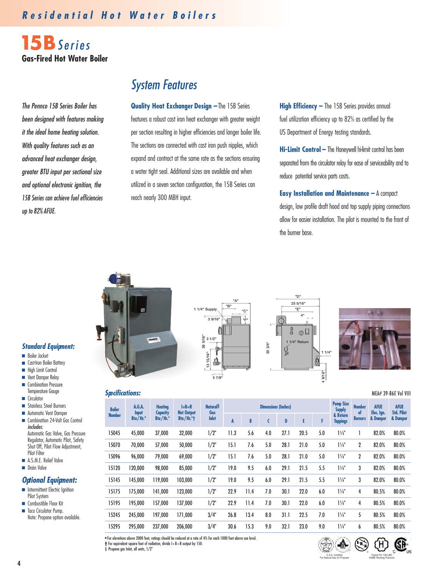### *R e s i d e n t i a l H o t W a t e r B o i l e r s*

**15B***S e r i e s* **Gas-Fired Hot Water Boiler**

*The Pennco 15B Series Boiler has been designed with features making it the ideal home heating solution. With quality features such as an advanced heat exchanger design, greater BTU input per sectional size and optional electronic ignition, the 15B Series can achieve fuel efficiencies up to 82% AFUE.*

## *System Features*

**Quality Heat Exchanger Design –**The 15B Series features a robust cast iron heat exchanger with greater weight per section resulting in higher efficiencies and longer boiler life. The sections are connected with cast iron push nipples, which expand and contract at the same rate as the sections ensuring a water tight seal. Additional sizes are available and when utilized in a seven section configuration, the 15B Series can reach nearly 300 MBH input.

**High Efficiency –** The 15B Series provides annual fuel utilization efficiency up to 82% as certified by the US Department of Energy testing standards.

**Hi-Limit Control –** The Honeywell hi-limit control has been separated from the circulator relay for ease of serviceability and to reduce potential service parts costs.

**Easy Installation and Maintenance –** A compact design, low profile draft hood and top supply piping connections allow for easier installation. The pilot is mounted to the front of the burner base.

#### *Standard Equipment:*

- **■** Boiler Jacket
- Cast-Iron Boiler Battery
- High Limit Control
- **■** Vent Damper Relay
- Combination Pressure Temperature Gauge **■** Circulator
- 
- **■** Stainless Steel Burners
- Automatic Vent Damper
- Combination 24-Volt Gas Control *includes:* Automatic Gas Valve, Gas Pressure Regulator, Automatic Pilot, Safety Shut Off, Pilot Flow Adjustment. Pilot Filter
- A.S.M.E. Relief Valve
- **■** Drain Valve

#### *Optional Equipment:*

- Intermittent Electric Ignition Pilot System
- **■** Combustible Floor Kit
- **■** Taco Circulator Pump. Note: Propane option available.







#### *Specifications:* MEA# 39-86E Vol VIII

panels.

| <b>Boiler</b> | A.G.A.                   | <b>Heating</b>              | $I = B = R$<br><b>Net Output</b> | <b>Natural</b> <sup>§</sup><br>Gas |      |      | <b>Dimensions (Inches)</b> |      |      |     | <b>Pump Size</b><br><b>Supply</b> | <b>Number</b><br>of | <b>AFUE</b>            | <b>AFUE</b><br><b>Std. Pilot</b> |
|---------------|--------------------------|-----------------------------|----------------------------------|------------------------------------|------|------|----------------------------|------|------|-----|-----------------------------------|---------------------|------------------------|----------------------------------|
| <b>Number</b> | <b>Input</b><br>Btu/Hr.* | <b>Capacity</b><br>Btu/Hr.* | Btu/Hr. $*$ †                    | <b>Inlet</b>                       | A    | B    | C                          | D    | E    | F   | & Return<br><b>Tappings</b>       | <b>Burners</b>      | Elec. Ign.<br>& Damper | & Damper                         |
| 15045         | 45.000                   | 37,000                      | 32,000                           | 1/2"                               | 11.3 | 5.6  | 4.0                        | 27.1 | 20.5 | 5.0 | $1\frac{1}{4}$                    |                     | 82.0%                  | 80.0%                            |
| 15070         | 70,000                   | 57,000                      | 50,000                           | 1/2"                               | 15.1 | 7.6  | 5.0                        | 28.1 | 21.0 | 5.0 | $1\frac{1}{4}$                    | $\mathbf{2}$        | 82.0%                  | 80.0%                            |
| 15096         | 96,000                   | 79,000                      | 69,000                           | 1/2"                               | 15.1 | 7.6  | 5.0                        | 28.1 | 21.0 | 5.0 | $1\frac{1}{4}$                    | $\mathbf{2}$        | 82.0%                  | 80.0%                            |
| 15120         | 120,000                  | 98,000                      | 85,000                           | 1/2"                               | 19.0 | 9.5  | 6.0                        | 29.1 | 21.5 | 5.5 | $1\frac{1}{4}$                    | 3                   | 82.0%                  | 80.0%                            |
| 15145         | 145.000                  | 119.000                     | 103,000                          | 1/2"                               | 19.0 | 9.5  | 6.0                        | 29.1 | 21.5 | 5.5 | $1\frac{1}{4}$                    | 3                   | 82.0%                  | 80.0%                            |
| 15175         | 175,000                  | 141,000                     | 123,000                          | 1/2"                               | 22.9 | 11.4 | 7.0                        | 30.1 | 22.0 | 6.0 | $1\frac{1}{4}$                    | 4                   | 80.5%                  | 80.0%                            |
| 15195         | 195,000                  | 157,000                     | 137,000                          | 1/2"                               | 22.9 | 11.4 | 7.0                        | 30.1 | 22.0 | 6.0 | $1\frac{1}{4}$                    | 4                   | 80.5%                  | 80.0%                            |
| 15245         | 245.000                  | 197.000                     | 171.000                          | 3/4"                               | 26.8 | 13.4 | 8.0                        | 31.1 | 22.5 | 7.0 | $1\frac{1}{4}$                    | 5                   | 80.5%                  | 80.0%                            |
| 15295         | 295.000                  | 237.000                     | 206.000                          | 3/4"                               | 30.6 | 15.3 | 9.0                        | 32.1 | 23.0 | 9.0 | $1\frac{1}{4}$                    | 6                   | 80.5%                  | 80.0%                            |

**\***For elevations above 2000 feet, ratings should be reduced at a rate of 4% for each 1000 feet above sea level. **†** For equivalent square feet of radiation, divide I=B=R output by 150.

§ Propane aas Inlet, all units, 1/2"



GP.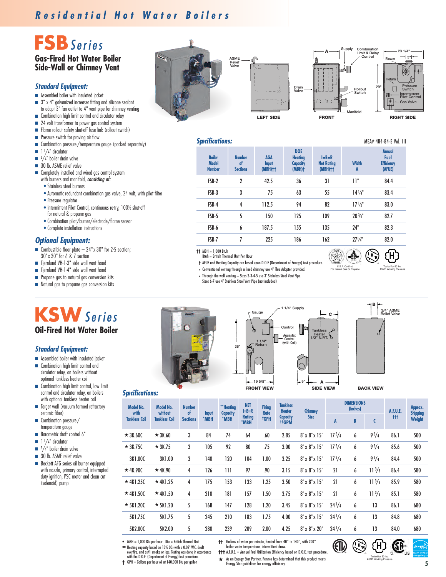### *R e s i d e n t i a l H o t W a t e r B o i l e r s*

# **FSB***S e r i e s*

### **Gas-Fired Hot Water Boiler Side-Wall or Chimney Vent**

#### *Standard Equipment:*

- **■** Assembled boiler with insulated jacket
- **■** 3" x 4" galvanized increaser fitting and silicone sealant to adapt 3" fan outlet to 4" vent pipe for chimney venting
- Combination high limit control and circulator relay
- 24 volt transformer to power gas control system
- **■** Flame rollout safety shut-off fuse link (rollout switch)
- Pressure switch for proving air flow
- **■** Combination pressure/temperature gauge (packed separately)
- **■** 1 <sup>1</sup> /4" circulator
- **■** 3 /4" boiler drain valve
- 30 lb. ASME relief valve
- **■** Completely installed and wired gas control system with burners and manifold, *consisting of:*
	- Stainless steel burners
	- Automatic redundant combination gas valve, 24 volt, with pilot filter
	- Pressure regulator
	- Intermittent Pilot Control, continuous re-try, 100% shut-off for natural & propane gas
	- Combination pilot/burner/electrode/flame sensor
	- Complete installation instructions

#### *Optional Equipment:*

- **■** Combustible floor plate 24"x 30" for 2-5 section; 30"x 30" for 6 & 7 section
- Tiernlund VH-1-3" side wall vent hood
- **■** Tjernlund VH-1-4" side wall vent hood
- Propane gas to natural gas conversion kits
- **■** Natural gas to propane gas conversion kits







**23 1/4"**

*Specifications:* MEA# 484-84-E Vol. III

| <b>Boiler</b><br><b>Model</b><br><b>Number</b> | <b>Number</b><br>of<br><b>Sections</b> | <b>AGA</b><br>Input<br>$(MBH)$ <sup>++</sup> | <b>DOE</b><br><b>Heating</b><br><b>Capacity</b><br>$(MBH)$ † | $I = B = R$<br><b>Net Rating</b><br>$(MBH)$ <sup>++</sup> | <b>Width</b><br>A | <b>Annual</b><br>Fuel<br><b>Efficiency</b><br>(AFUE) |
|------------------------------------------------|----------------------------------------|----------------------------------------------|--------------------------------------------------------------|-----------------------------------------------------------|-------------------|------------------------------------------------------|
| FSB-2                                          | 2                                      | 42.5                                         | 36                                                           | 31                                                        | וו"               | 84.4                                                 |
| FSB-3                                          | 3                                      | 75                                           | 63                                                           | 55                                                        | $14\frac{1}{4}$   | 83.4                                                 |
| FSB-4                                          | 4                                      | 112.5                                        | 94                                                           | 82                                                        | $17\frac{1}{2}$   | 83.0                                                 |
| FSB-5                                          | 5                                      | 150                                          | 125                                                          | 109                                                       | $20\frac{3}{4}$ " | 82.7                                                 |
| FSB-6                                          | 6                                      | 187.5                                        | 155                                                          | 135                                                       | 24"               | 82.3                                                 |
| FSB-7                                          | 7                                      | 225                                          | 186                                                          | 162                                                       | $27\frac{1}{4}$   | 82.0                                                 |
|                                                |                                        |                                              |                                                              |                                                           |                   |                                                      |

**††** MBH = 1,000 Btuh Btuh = British Thermal Unit Per Hour

**†** AFUE and Heating Capacity are based upon D.O.E (Department of Energy) test procedure.

**\*** Conventional venting through a lined chimney use 4" Flue Adapter provided.

- 
- **\*** Through the wall venting Sizes 2-3-4-5 use 3" Stainless Steel Vent Pipe. Sizes 6-7 use 4" Stainless Steel Vent Pipe (not included)
	-



### **Oil-Fired Hot Water Boiler**

#### *Standard Equipment:*

- **■** Assembled boiler with insulated jacket
- **■** Combination high limit control and circulator relay, on boilers without optional tankless heater coil
- Combination high limit control, low limit control and circulator relay, on boilers with optional tankless heater coil
- Target wall (vacuum formed refractory ceramic fiber)
- **■** Combination pressure/ temperature gauge
- Barometric draft control 6"
- 1<sup>1</sup>/4" circulator
- <sup>3</sup>/4" boiler drain valve
- 30 lb. ASME relief valve
- Beckett AFG series oil burner equipped with nozzle, primary control, interrupted duty ignition, PSC motor and clean cut (solenoid) pump







®

Tested for 50 lbs. ASME Working Pressure

C.S.A. Certified For Natural Gas Or Propane

**Tankless Heater 1/2" N.P.T.**

**C**

**A**



| <b>Specifications:</b> |  |
|------------------------|--|
|------------------------|--|

| <b>Model No.</b><br>with | Model No.<br>without | <b>Number</b><br>of | Input | **Heating<br>Capacity | <b>NET</b><br>$I = B = R$ | <b>Firing</b><br><b>Rate</b> | <b>Tankless</b><br><b>Heater</b>     | <b>Chimney</b>            | <b>DIMENSIONS</b><br>(Inches) |   |              | <b>A.F.U.E.</b> | Approx.<br><b>Shipping</b> |
|--------------------------|----------------------|---------------------|-------|-----------------------|---------------------------|------------------------------|--------------------------------------|---------------------------|-------------------------------|---|--------------|-----------------|----------------------------|
| <b>Tankless Coil</b>     | <b>Tankless Coil</b> | <b>Sections</b>     | *MBH  | *MBH                  | <b>Rating</b><br>*MBH     | <b>†GPH</b>                  | <b>Capacity</b><br><sup>tt</sup> GPM | <b>Size</b>               | A                             | B | C            | <b>ttt</b>      | Weight                     |
| $\star$ 3K.60C           | $\star$ 3K.60        | 3                   | 84    | 74                    | 64                        | .60                          | 2.85                                 | $8" \times 8" \times 15"$ | 17 <sup>3</sup> /4            | 6 | $9^{3}/_{4}$ | 86.1            | 500                        |
| $\star$ 3K.75C           | $\star$ 3K.75        | 3                   | 105   | 92                    | 80                        | .75                          | 3.00                                 | $8" \times 8" \times 15'$ | 17 <sup>3</sup> /4            | 6 | $9^{3}/4$    | 85.6            | 500                        |
| 3K1.00C                  | 3K1.00               | 3                   | 140   | 120                   | 104                       | 1.00                         | 3.25                                 | $8" \times 8" \times 15'$ | 17 <sup>3</sup> /4            | 6 | $9^{3}/4$    | 84.4            | 500                        |
| $\star$ 4K.90C           | $\star$ 4K.90        | 4                   | 126   | 111                   | 97                        | .90                          | 3.15                                 | $8" \times 8" \times 15"$ | 21                            | 6 | $11^{3}/8$   | 86.4            | 580                        |
| $\star$ 4K1.25C          | $\star$ 4K1.25       | 4                   | 175   | 153                   | 133                       | 1.25                         | 3.50                                 | $8" \times 8" \times 15'$ | 21                            | 6 | $11^{3}/8$   | 85.9            | 580                        |
| $\star$ 4K1.50C          | $\star$ 4K1.50       | 4                   | 210   | 181                   | 157                       | 1.50                         | 3.75                                 | $8" \times 8" \times 15'$ | 21                            | 6 | $11^{3}/8$   | 85.1            | 580                        |
| $\star$ 5K1.20C          | $\star$ 5K1.20       | 5                   | 168   | 147                   | 128                       | 1.20                         | 3.45                                 | $8" \times 8" \times 15'$ | $24^{1}/4$                    | 6 | 13           | 86.1            | 680                        |
| 5K1.75C                  | 5K1.75               | 5                   | 245   | 210                   | 183                       | 1.75                         | 4.00                                 | $8" \times 8" \times 15'$ | $24^{1/4}$                    | 6 | 13           | 84.8            | 680                        |
| 5K2.00C                  | 5K2.00               | 5                   | 280   | 239                   | 209                       | 2.00                         | 4.25                                 | $8" \times 8" \times 20"$ | $24^{1}/4$                    | 6 | 13           | 84.0            | 680                        |

**\*** MBH = 1,000 Btu per hour Btu = British Thermal Unit

- **\*\*** Heating capacity based on 13% CO2 with a 0.02" W.C. draft overfire, and a #1 smoke or less. Testing was done in accordance with the D.O.E. (Department of Energy) test procedure. **†** GPH = Gallons per hour oil at 140,000 Btu per gallon
- **††** Gallons of water per minute, heated from 40° to 140°, with 200° boiler water temperature, intermittent draw.
- **†††** A.F.U.E. = Annual Fuel Utilization Efficiency based on D.O.E. test procedure. **★** As an Energy Star Partner, Pennco has determined that this product meets Energy Star guidelines for energy efficiency.



ASME Working Pressure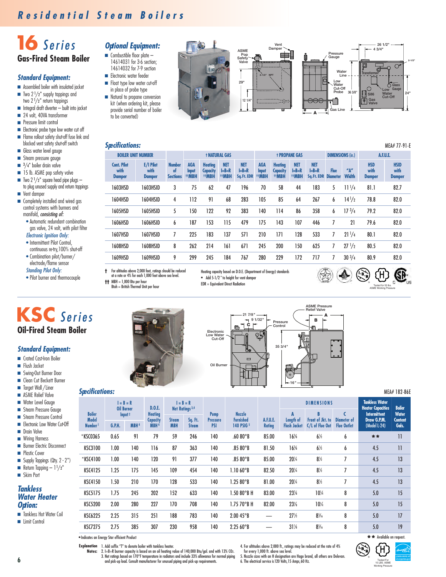## 16 Series **Gas-Fired Steam Boiler**

### *Standard Equipment:*

- Assembled boiler with insulated jacket
- **■** Two 2 <sup>1</sup> /2" supply tappings and
- two 2 <sup>1</sup> /2" return tappings
- **■** Integral draft diverter built into jacket
- 24 volt, 40VA transformer **■** Pressure limit control
- 
- **■** Electronic probe type low water cut off **■** Flame rollout safety shut-off fuse link and
- blocked vent safety shut-off switch **■** Glass water level gauge
- Steam pressure gauge
- <sup>3</sup>/4" boiler drain valve
- 15 lb. ASME pop safety valve
- 
- **■** Two 2 <sup>1</sup> /2" square head pipe plugs to plug unused supply and return tappings **■** Vent damper
- Completely installed and wired gas control systems with burners and manifold, *consisting of:*
	- Automatic redundant combination gas valve, 24 volt, with pilot filter

#### *Electronic Ignition Only:*

- Intermittent Pilot Control, continuous re-try,100% shut-off
- Combination pilot/burner/ electrode/flame sensor

#### *Standing Pilot Only:*

*Standard Equipment:* ■ Crated Cast-Iron Boiler **■** Flush Jacket **■** Swing-Out Burner Door **■** Clean Cut Beckett Burner **■** Target Wall /Liner **■** ASME Relief Valve

• Pilot burner and thermocouple

**KSC** *S e r i e s*

**Oil-Fired Steam Boiler**

- *Optional Equipment:* ■ Combustible floor plate – 14614031 for 3-6 section;
	- 14614032 for 7-9 section **■** Electronic water feeder
	- **■** Float type low water cut-off in place of probe type
	- **■** Natural to propane conversion kit (when ordering kit, please provide serial number of boiler to be converted)



#### *Specifications:* MEA# 77-91-E

| <b>BOILER UNIT NUMBER</b>                   |                                    |                                        |                             |                                                        | <b>† NATURAL GAS</b>              |                                        |                             |                                           | <b>† PROPANE GAS</b>              |                                        | <b>DIMENSIONS (in.)</b>        |                       | <b>A.F.U.E.</b>                     |                                      |
|---------------------------------------------|------------------------------------|----------------------------------------|-----------------------------|--------------------------------------------------------|-----------------------------------|----------------------------------------|-----------------------------|-------------------------------------------|-----------------------------------|----------------------------------------|--------------------------------|-----------------------|-------------------------------------|--------------------------------------|
| <b>Cont. Pilot</b><br>with<br><b>Damper</b> | E/I Pilot<br>with<br><b>Damper</b> | <b>Number</b><br>of<br><b>Sections</b> | <b>AGA</b><br>Input<br>#MBH | <b>Heating</b><br><b>Capacity</b><br><sup>††</sup> MBH | <b>NET</b><br>$I = B = R$<br>#MBH | <b>NET</b><br>$I = B = R$<br>Sq.Ft.EDR | <b>AGA</b><br>Input<br>#MBH | <b>Heating</b><br><b>Capacity</b><br>#MBH | <b>NET</b><br>$I = B = R$<br>#MBH | <b>NET</b><br>$I = B = R$<br>Sq.Ft.EDR | <b>Flue</b><br><b>Diameter</b> | ''A''<br><b>Width</b> | <b>HSD</b><br>with<br><b>Damper</b> | <b>HSID</b><br>with<br><b>Damper</b> |
| 1603HSD                                     | 1603HSID                           | 3                                      | 75                          | 62                                                     | 47                                | 196                                    | 70                          | 58                                        | 44                                | 183                                    | 5                              | $11^{1/4}$            | 81.1                                | 82.7                                 |
| 1604HSD                                     | 1604HSID                           | 4                                      | 112                         | 91                                                     | 68                                | 283                                    | 105                         | 85                                        | 64                                | 267                                    | 6                              | $14^{1/2}$            | 78.8                                | 82.0                                 |
| 1605HSD                                     | 1605HSID                           | 5                                      | 150                         | 122                                                    | 92                                | 383                                    | 140                         | 114                                       | 86                                | 358                                    | 6                              | 17 <sup>3</sup> /4    | 79.2                                | 82.0                                 |
| 1606HSD                                     | 1606HSID                           | 6                                      | 187                         | 153                                                    | 115                               | 479                                    | 175                         | 143                                       | 107                               | 446                                    |                                | 21                    | 79.6                                | 82.0                                 |
| 1607HSD                                     | 1607HSID                           | 7                                      | 225                         | 183                                                    | 137                               | 571                                    | 210                         | 171                                       | 128                               | 533                                    | 7                              | $21^{1/4}$            | 80.1                                | 82.0                                 |
| 1608HSD                                     | 1608HSID                           | 8                                      | 262                         | 214                                                    | 161                               | 671                                    | 245                         | 200                                       | 150                               | 625                                    | 7                              | $27^{1/2}$            | 80.5                                | 82.0                                 |
| 1609HSD                                     | 1609HSID                           | 9                                      | 299                         | 245                                                    | 184                               | 767                                    | 280                         | 229                                       | 172                               | 717                                    |                                | $30^{3}/4$            | 80.9                                | 82.0                                 |

**†** For altitudes above 2,000 feet, ratings should be reduced at a rate or 4% for each 1,000 feet above sea level.

Heating capacity based on D.O.E. (Department of Energy) standards **\*** Add 5-1/2 " to height for vent damper EDR = Equivalent Direct Radiation



**††** MBH = 1,000 Btu per hour Btuh = British Thermal Unit per hour

**21 7/8" Electronic**  $\overline{c}$   $\overline{r}$ 



#### *Specifications:* MEA# 182-86E

| Water Level Gauge<br>Steam Pressure Gauge            |                               | <b>Oil Burner</b> | $I = B = R$        | D.0.E.                            |              | $I = B = R$<br>Net Ratings <sup>3,4</sup> |                                |                                   |               |                     | <b>DIMENSIONS</b>           |                    | <b>Tankless Water</b><br><b>Heater Capacities</b> | <b>Boiler</b>           |
|------------------------------------------------------|-------------------------------|-------------------|--------------------|-----------------------------------|--------------|-------------------------------------------|--------------------------------|-----------------------------------|---------------|---------------------|-----------------------------|--------------------|---------------------------------------------------|-------------------------|
| Steam Pressure Control                               | <b>Boiler</b><br><b>Model</b> |                   | Input <sup>2</sup> | <b>Heating</b><br><b>Capacity</b> | <b>Steam</b> | Sq. Ft.                                   | <b>Pump</b><br><b>Pressure</b> | <b>Nozzle</b><br><b>Furnished</b> | A.F.U.E.      | Length of           | Front of Jkt. to            | <b>Diameter of</b> | Intermittent<br>Draw G.P.M.                       | <b>Water</b><br>Content |
| Electronic Low Water Cut-Off<br><b>Drain Valve</b>   | <b>Number</b>                 | <b>G.P.H.</b>     | MBH <sup>4</sup>   | MBH <sup>4</sup>                  | <b>MBH</b>   | <b>Steam</b>                              | <b>PSI</b>                     | 140 PSIG <sup>5</sup>             | <b>Rating</b> | <b>Flush Jacket</b> | C/L of Flue Out Flue Outlet |                    | (Model L-24)                                      | Gals.                   |
| ■ Wiring Harness                                     | *KSC0365                      | 0.65              | 91                 | 79                                | 59           | 246                                       | 140                            | .6080°B                           | 85.00         | 16%                 | $6\frac{1}{2}$              | 6                  | **                                                | $\mathbf{1}$            |
| <b>Burner Electric Disconnect</b><br>• Plastic Cover | KSC3100                       | 1.00              | 140                | 116                               | 87           | 363                                       | 140                            | .8580°B                           | 81.50         | 16%                 | $6\frac{1}{2}$              | b                  | 4.5                                               | $\mathbf{1}$            |
| Supply Tappings (Qty. 2 - 2")                        | *KSC4100                      | 1.00              | 140                | 120                               | 91           | 377                                       | 140                            | .8580°B                           | 85.00         | $20\frac{1}{4}$     | $8\frac{1}{2}$              |                    | 4.5                                               | 13                      |
| Return Tapping $-1\frac{1}{2}$ "<br>Skim Port        | KSC4125                       | 1.25              | 175                | 145                               | 109          | 454                                       | 140                            | 1.1060°B                          | 82.50         | $20\frac{1}{4}$     | $8\%$                       |                    | 4.5                                               | 13                      |
|                                                      | KSC4150                       | 1.50              | 210                | 170                               | 128          | 533                                       | 140                            | 1.2580°B                          | 81.00         | $20\%$              | $8\frac{1}{2}$              |                    | 4.5                                               | 13                      |
| <b>Tankless</b><br><b>Water Heater</b>               | KSC5175                       | 1.75              | 245                | 202                               | 152          | 633                                       | 140                            | $1.5080^\circ$ BH                 | 83.00         | 23%                 | $10\frac{1}{4}$             | 8                  | 5.0                                               | 15                      |
| <b>Option:</b>                                       | KSC5200                       | 2.00              | 280                | 227                               | 170          | 708                                       | 140                            | $1.7570^\circ$ BH                 | 82.00         | 23%                 | $10\frac{1}{4}$             | 8                  | 5.0                                               | 15                      |
| ■ Tankless Hot Water Coil                            | <b>KSC6225</b>                | 2.25              | 315                | 251                               | 188          | 783                                       | 140                            | 2.0045°B                          |               | 27%                 | $8\frac{5}{16}$             | 8                  | 5.0                                               | 17                      |
| Limit Control                                        | KSC7275                       | 2.75              | 385                | 307                               | 230          | 958                                       | 140                            | 2.2560°B                          |               | $31\%$              | $8\frac{5}{16}$             | 8                  | 5.0                                               | 19                      |
|                                                      |                               |                   |                    |                                   |              |                                           |                                |                                   |               |                     |                             |                    |                                                   |                         |

**\***Indicates an Energy Star efficient Product

**Explanation** 1. Add suffix "T" to denote boiler with tankless heater. 2. I=B=R burner capacity is based on an oil heating value of 140,000 Btu/gal. and with 13% CO2. 3. Net ratings based on 170°F temperature in radiators and include 33% allowance for normal piping **Notes:** and pick-up load. Consult manufacturer for unusual piping and pick-up requirements.

4. For altitudes above 2,000 ft., ratings may be reduced at the rate of 4%

for every 1,000 ft. above sea level. 5. Nozzle sizes with an H designation are Hago brand, all others are Delevan.

6. The electrical service is120 Volts,15 Amps,60 Hz.

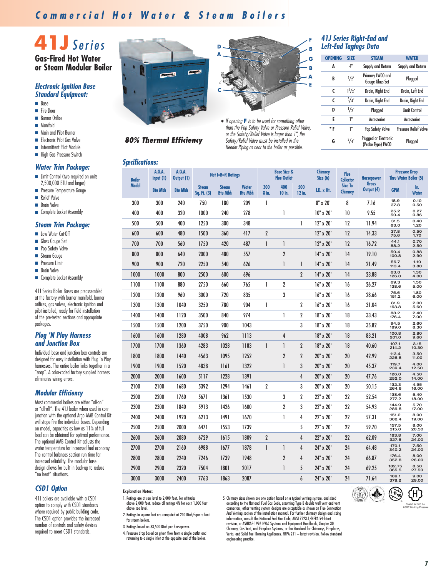### **Commercial Hot Water & Steam Boilers**

# **41J** *S e r i e s*

#### **Gas-Fired Hot Water or Steam Modular Boiler**

#### *Electronic Ignition Base Standard Equipment:*

- **■** Base
- **■** Fire Door
- **■** Burner Orifice
- **■** Manifold
- Main and Pilot Burner
- **■** Electronic Pilot Gas Valve
- **■** Intermittent Pilot Module
- High Gas Pressure Switch

#### *Water Trim Package:*

- **■** Limit Control (two required on units 2,500,000 BTU and larger)
- Pressure Temperature Gauge **■** Relief Valve
- **■** Drain Valve
- **■** Complete Jacket Assembly

#### *Steam Trim Package:*

- **■** Low Water Cut-Off
- **■** Glass Gauge Set
- **■** Pop Safety Valve
- **■** Steam Gauge
- **■** Pressure Limit
- **■** Drain Valve
- **■** Complete Jacket Assembly

41J Series Boiler Bases are preassembled at the factory with burner manifold, burner orifices, gas valves, electronic ignition and pilot installed, ready for field installation of the pre-tested sections and appropriate packages.

#### *Plug 'N Play Harness and Junction Box*

Individual base and junction box controls are designed for easy installation with Plug 'n Play harnesses. The entire boiler links together in a "snap". A color-coded factory supplied harness eliminates wiring errors.

#### *Modular Efficiency*

Most commercial boilers are either "all-on" or "all-off". The 41J boiler when used in conjunction with the optional Argo AMB Control Kit will stage fire the individual bases. Depending on model, capacities as low as 11% of full load can be obtained for optimal performance. The optional AMB Control Kit adjusts the water temperature for increased fuel economy. The control balances section run time for increased reliability. The modular base design allows for built in back-up to reduce "no heat" situations.

#### *CSD1 Option*

41J boilers are available with a CSD1 option to comply with CSD1 standards where required by public building code. The CSD1 option provides the increased number of controls and safety devices required to meet CSD1 standards.



*80% Thermal Efficiency*



**\*** *If opening* **<sup>F</sup>** *is to be used for something other than the Pop Safety Valve or Pressure Relief Valve, or the Safety/Relief Valve is larger than 1", the Safety/Relief Valve must be installed in the Header Piping as near to the boiler as possible.*

#### *41J Series Right-End and Left-End Tappings Data*

**F**

**G B A E**

| <b>OPENING</b> | <b>SIZE</b>     | <b>STEAM</b>                                      | <b>WATER</b>                 |
|----------------|-----------------|---------------------------------------------------|------------------------------|
| A              | 4"              | Supply and Return                                 | Supply and Return            |
| B              | 1/2"            | Primary LWCO and<br><b>Gauge Glass Set</b>        | Plugged                      |
| C              | $1^{1}/2$ "     | Drain, Right End                                  | Drain, Left End              |
| C              | 3/4"            | Drain, Right End                                  | Drain, Right End             |
| D              | $\frac{1}{2}$ " | Plugged                                           | Limit Control                |
| E              | ı"              | <b>Accessories</b>                                | <b>Accessories</b>           |
| * F            | ı"              | Pop Safety Valve                                  | <b>Pressure Relief Valve</b> |
| G              | $^{3}/_{4}$ "   | <b>Plugged or Electronic</b><br>(Probe Type) LWCO | Plugged                      |

| <b>Specifications:</b> |                    |                      |                             |                                |                                |                |                                              |                |                           |                                  |                            |                 |                                                      |
|------------------------|--------------------|----------------------|-----------------------------|--------------------------------|--------------------------------|----------------|----------------------------------------------|----------------|---------------------------|----------------------------------|----------------------------|-----------------|------------------------------------------------------|
| <b>Boiler</b>          | A.G.A.<br>Input(1) | A.G.A.<br>Output (1) |                             | Net I=B=R Ratings              |                                |                | <b>Base Size &amp;</b><br><b>Flue Outlet</b> |                | <b>Chimney</b><br>Size(6) | <b>Flue</b><br><b>Collector</b>  | <b>Horsepower</b>          |                 | <b>Pressure Drop</b><br><b>Thru Water Boiler (5)</b> |
| <b>Model</b>           | <b>Btu Mbh</b>     | <b>Btu Mbh</b>       | <b>Steam</b><br>Sq. Ft. (3) | <b>Steam</b><br><b>Btu Mbh</b> | <b>Water</b><br><b>Btu Mbh</b> | 300<br>8 in.   | 400<br>10 in.                                | 500<br>12 in.  | <b>I.D. x Ht.</b>         | <b>Size To</b><br><b>Chimney</b> | <b>Gross</b><br>Output (4) | <b>GPM</b>      | In.<br><b>Water</b>                                  |
| 300                    | 300                | 240                  | 750                         | 180                            | 209                            | L              |                                              |                | 8" x 20"                  | 8                                | 7.16                       | 18.9<br>37.8    | 0.10<br>0.50                                         |
| 400                    | 400                | 320                  | 1000                        | 240                            | 278                            |                | 1                                            |                | 10" x 20"                 | 10                               | 9.55                       | 25.2<br>50.4    | 0.27<br>0.86                                         |
| 500                    | 500                | 400                  | 1250                        | 300                            | 348                            |                |                                              | 1              | 12" x 20"                 | 12                               | 11.94                      | 31.5<br>63.0    | 0.40<br>1.20                                         |
| 600                    | 600                | 480                  | 1500                        | 360                            | 417                            | $\overline{2}$ |                                              |                | 12" x 20'                 | 12                               | 14.33                      | 37.8<br>75.6    | 0.50<br>1.70                                         |
| 700                    | 700                | 560                  | 1750                        | 420                            | 487                            | $\mathbf{I}$   | $\mathbf{I}$                                 |                | 12" x 20"                 | 12                               | 16.72                      | 44.1<br>88.2    | 0.70<br>2.50                                         |
| 800                    | 800                | 640                  | 2000                        | 480                            | 557                            |                | $\overline{2}$                               |                | 14" x 20"                 | 14                               | 19.10                      | 50.4<br>100.8   | 0.88<br>2.90                                         |
| 900                    | 900                | 720                  | 2250                        | 540                            | 626                            |                | $\mathbf{I}$                                 | 1              | 14" x 20"                 | 14                               | 21.49                      | 56.7<br>113.4   | 1.10<br>3.80                                         |
| 1000                   | 1000               | 800                  | 2500                        | 600                            | 696                            |                |                                              | $\overline{2}$ | 14" x 20"                 | 14                               | 23.88                      | 63.0<br>126.0   | 1.30<br>4.00                                         |
| 1100                   | 1100               | 880                  | 2750                        | 660                            | 765                            | L              | $\overline{2}$                               |                | 16" x 20'                 | 16                               | 26.27                      | 69.3<br>138.6   | 1.50<br>5.00                                         |
| 1200                   | 1200               | 960                  | 3000                        | 720                            | 835                            |                | 3                                            |                | 16" x 20"                 | 16                               | 28.66                      | 75.6<br>151.2   | 1.80<br>6.00                                         |
| 1300                   | 1300               | 1040                 | 3250                        | 780                            | 904                            | L              |                                              | $\overline{2}$ | 16" x 20"                 | 16                               | 31.04                      | 81.9<br>163.8   | 2.00<br>5.60                                         |
| 1400                   | 1400               | 1120                 | 3500                        | 840                            | 974                            |                | 1                                            | $\overline{2}$ | 18" x 20"                 | 18                               | 33.43                      | 88.2<br>176.4   | 2.40<br>7.00                                         |
| 1500                   | 1500               | 1200                 | 3750                        | 900                            | 1043                           |                |                                              | 3              | 18" x 20"                 | 18                               | 35.82                      | 94.5<br>189.0   | 2.60<br>8.30                                         |
| 1600                   | 1600               | 1280                 | 4008                        | 962                            | 1113                           |                | $\overline{4}$                               |                | 18" x 20"                 | 18                               | 83.21                      | 100.8<br>201.0  | 2.80<br>9.60                                         |
| 1700                   | 1700               | 1360                 | 4283                        | 1028                           | 1183                           | $\mathbf{I}$   | $\mathbf{I}$                                 | $\overline{2}$ | 18" x 20'                 | 18                               | 40.60                      | 107.1<br>214.2  | 3.15<br>10.30                                        |
| 1800                   | 1800               | 1440                 | 4563                        | 1095                           | 1252                           |                | $\overline{2}$                               | $\overline{2}$ | 20" x 20"                 | 20                               | 42.99                      | 113.4<br>226.8  | 3.50<br>11.00                                        |
| 1900                   | 1900               | 1520                 | 4838                        | 1161                           | 1322                           |                | 1                                            | 3              | 20" x 20"                 | 20                               | 45.37                      | 119.7<br>239.4  | 4.00<br>12.50                                        |
| 2000                   | 2000               | 1600                 | 5117                        | 1228                           | 1391                           |                |                                              | $\overline{4}$ | 20" x 20"                 | 20                               | 47.76                      | 126.0<br>252.0  | 4.50<br>14.00                                        |
| 2100                   | 2100               | 1680                 | 5392                        | 1294                           | 1461                           | $\overline{2}$ |                                              | 3              | 20" x 20"                 | 20                               | 50.15                      | 132.3<br>264.6  | 4.95<br>16.00                                        |
| 2200                   | 2200               | 1760                 | 5671                        | 1361                           | 1530                           |                | 3                                            | $\overline{2}$ | 22" x 20"                 | 22                               | 52.54                      | 138.6<br>277.2  | 5.40<br>18.00                                        |
| 2300                   | 2300               | 1840                 | 5913                        | 1426                           | 1600                           |                | $\overline{2}$                               | 3              | 22" x 20'                 | 22                               | 54.93                      | 144.9<br>289.8  | 5.70<br>17.00                                        |
| 2400                   | 2400               | 1920                 | 6213                        | 1491                           | 1670                           |                | 1                                            | 4              | 22" x 20"                 | 22                               | 57.31                      | 151.2<br>302.4  | 8.00<br>19.00                                        |
| 2500                   | 2500               | 2000                 | 6471                        | 1553                           | 1739                           |                |                                              | 5              | 22" x 20"                 | 22                               | 59.70                      | 157.5<br>315.0  | 8.00<br>20.50                                        |
| 2600                   | 2600               | 2080                 | 6729                        | 1615                           | 1809                           | $\overline{2}$ |                                              | $\overline{4}$ | 22" x 20"                 | 22                               | 62.09                      | 163.8<br>327.6  | 7.00<br>24.00                                        |
| 2700                   | 2700               | 2160                 | 6988                        | 1677                           | 1878                           | $\mathbf{I}$   | $\mathbf{I}$                                 | $\overline{4}$ | 24" x 20"                 | 24                               | 64.48                      | 170.1<br>340.2  | 7.50<br>24.00                                        |
| 2800                   | 2800               | 2240                 | 7246                        | 1739                           | 1948                           |                | $\overline{2}$                               | 4              | 24" x 20"                 | 24                               | 66.87                      | 176.4<br>352.8  | 8.00<br>26.00                                        |
| 2900                   | 2900               | 2320                 | 7504                        | 1801                           | 2017                           |                | 1                                            | 5              | 24" x 20"                 | 24                               | 69.25                      | 182.75<br>365.5 | 8.50<br>27.50                                        |
| 3000                   | 3000               | 2400                 | 7763                        | 1863                           | 2087                           |                |                                              | 6              | 24" x 20"                 | 24                               | 71.64                      | 189.1<br>378.2  | 9.00<br>29.00                                        |

**Explanation Notes:**

- 1. Ratings are at sea level to 2,000 feet. For altitudes above 2,000 feet, reduce all ratings 4% for each 1,000 feet above sea level.
- 2. Ratings in square feet are computed at 240 Btuh/square foot for steam boilers.

3. Ratings based on 33,500 Btuh per horsepower

4. Pressure drop based on given flow from a single outlet and returning to a single inlet at the opposite end of the boiler.

5. Chimney sizes shown are one option based on a typical venting system, and sized<br>according to the National Fuel Gas Code, assuming Type B double wall vent and vent<br>connectors, other venting system designs are acceptable And Venting section of the installation manual. For further chimney design and sizing information, consult the National Fuel Gas Code, ANSI Z223.1/NFPA 54-latest revision, or ASHRAE-1996 HVAC Systems and Equipment Handbook, Chapter 30, Chimney, Gas Vent, and Fireplace Systems, or the Standard for Chimneys, Fireplaces, Vents, and Solid Fuel Burning Appliances. NFPA 211 – latest revision. Follow standard engineering practice.